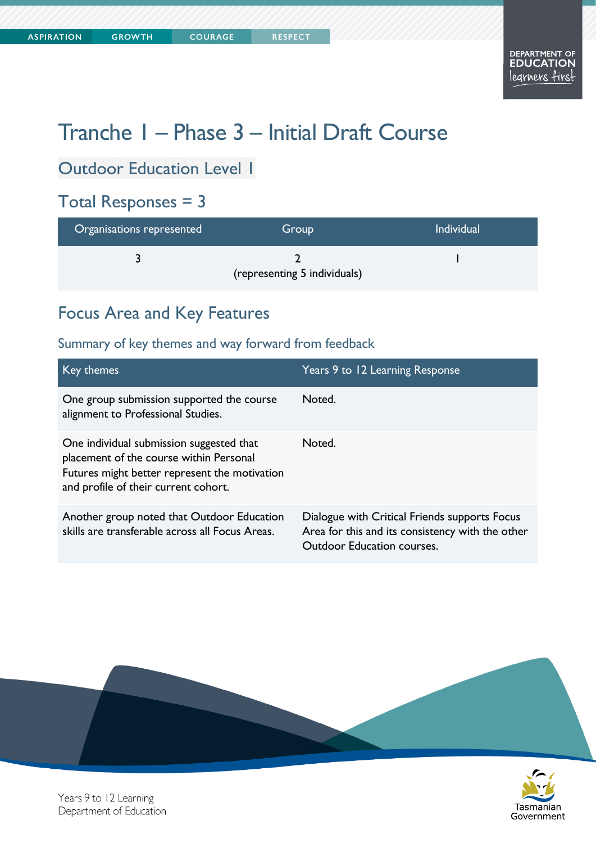**COURAGE** 

Tasmanian

Government

# Tranche 1 – Phase 3 – Initial Draft Course

# Outdoor Education Level 1

## Total Responses = 3

| Organisations represented | Group                        | <b>Individual</b> |
|---------------------------|------------------------------|-------------------|
|                           | (representing 5 individuals) |                   |

# Focus Area and Key Features

#### Summary of key themes and way forward from feedback

| Key themes                                                                                                                                                                   | Years 9 to 12 Learning Response                                                                                                        |
|------------------------------------------------------------------------------------------------------------------------------------------------------------------------------|----------------------------------------------------------------------------------------------------------------------------------------|
| One group submission supported the course<br>alignment to Professional Studies.                                                                                              | Noted.                                                                                                                                 |
| One individual submission suggested that<br>placement of the course within Personal<br>Futures might better represent the motivation<br>and profile of their current cohort. | Noted.                                                                                                                                 |
| Another group noted that Outdoor Education<br>skills are transferable across all Focus Areas.                                                                                | Dialogue with Critical Friends supports Focus<br>Area for this and its consistency with the other<br><b>Outdoor Education courses.</b> |



Years 9 to 12 Learning Department of Education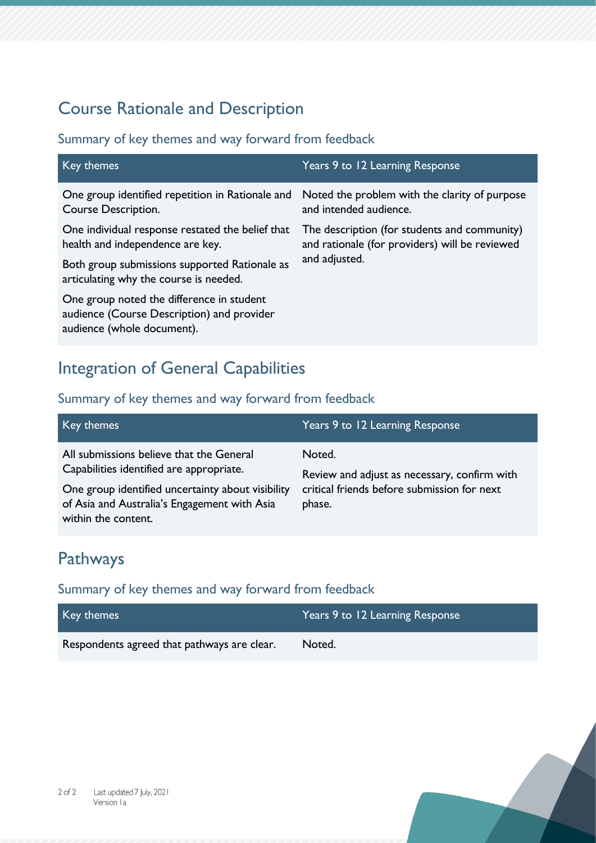# Course Rationale and Description

### Summary of key themes and way forward from feedback

| Key themes                                                                                                                   | Years 9 to 12 Learning Response                                                                |
|------------------------------------------------------------------------------------------------------------------------------|------------------------------------------------------------------------------------------------|
| One group identified repetition in Rationale and Noted the problem with the clarity of purpose<br><b>Course Description.</b> | and intended audience.                                                                         |
| One individual response restated the belief that<br>health and independence are key.                                         | The description (for students and community)<br>and rationale (for providers) will be reviewed |
| Both group submissions supported Rationale as<br>articulating why the course is needed.                                      | and adjusted.                                                                                  |
| One group noted the difference in student<br>audience (Course Description) and provider<br>audience (whole document).        |                                                                                                |

## Integration of General Capabilities

#### Summary of key themes and way forward from feedback

| Key themes                                                                                                                                                                                                       | Years 9 to 12 Learning Response                                                                                 |
|------------------------------------------------------------------------------------------------------------------------------------------------------------------------------------------------------------------|-----------------------------------------------------------------------------------------------------------------|
| All submissions believe that the General<br>Capabilities identified are appropriate.<br>One group identified uncertainty about visibility<br>of Asia and Australia's Engagement with Asia<br>within the content. | Noted.<br>Review and adjust as necessary, confirm with<br>critical friends before submission for next<br>phase. |

## Pathways

| Key themes                                  | Years 9 to 12 Learning Response |
|---------------------------------------------|---------------------------------|
| Respondents agreed that pathways are clear. | Noted.                          |

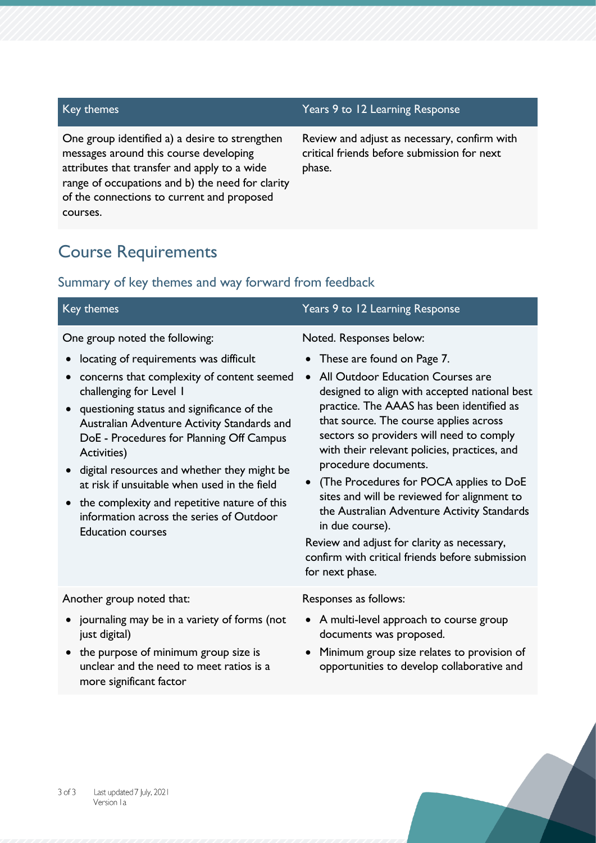One group identified a) a desire to strengthen messages around this course developing attributes that transfer and apply to a wide range of occupations and b) the need for clarity of the connections to current and proposed courses.

#### Key themes Years 9 to 12 Learning Response

Review and adjust as necessary, confirm with critical friends before submission for next phase.

### Course Requirements

#### Summary of key themes and way forward from feedback

| <b>Key themes</b>                                                                                                                                                                                                                                                                                                                                                                                                                                                                                                                  | Years 9 to 12 Learning Response                                                                                                                                                                                                                                                                                                                                                                                                                                                                                                                                                                                                                        |
|------------------------------------------------------------------------------------------------------------------------------------------------------------------------------------------------------------------------------------------------------------------------------------------------------------------------------------------------------------------------------------------------------------------------------------------------------------------------------------------------------------------------------------|--------------------------------------------------------------------------------------------------------------------------------------------------------------------------------------------------------------------------------------------------------------------------------------------------------------------------------------------------------------------------------------------------------------------------------------------------------------------------------------------------------------------------------------------------------------------------------------------------------------------------------------------------------|
| One group noted the following:<br>locating of requirements was difficult<br>concerns that complexity of content seemed<br>challenging for Level I<br>• questioning status and significance of the<br>Australian Adventure Activity Standards and<br>DoE - Procedures for Planning Off Campus<br>Activities)<br>digital resources and whether they might be<br>at risk if unsuitable when used in the field<br>the complexity and repetitive nature of this<br>information across the series of Outdoor<br><b>Education courses</b> | Noted. Responses below:<br>• These are found on Page 7.<br>All Outdoor Education Courses are<br>$\bullet$<br>designed to align with accepted national best<br>practice. The AAAS has been identified as<br>that source. The course applies across<br>sectors so providers will need to comply<br>with their relevant policies, practices, and<br>procedure documents.<br>(The Procedures for POCA applies to DoE<br>sites and will be reviewed for alignment to<br>the Australian Adventure Activity Standards<br>in due course).<br>Review and adjust for clarity as necessary,<br>confirm with critical friends before submission<br>for next phase. |
| Another group noted that:                                                                                                                                                                                                                                                                                                                                                                                                                                                                                                          | Responses as follows:                                                                                                                                                                                                                                                                                                                                                                                                                                                                                                                                                                                                                                  |
| • journaling may be in a variety of forms (not                                                                                                                                                                                                                                                                                                                                                                                                                                                                                     | • A multi-level approach to course group                                                                                                                                                                                                                                                                                                                                                                                                                                                                                                                                                                                                               |
| just digital)                                                                                                                                                                                                                                                                                                                                                                                                                                                                                                                      | documents was proposed.                                                                                                                                                                                                                                                                                                                                                                                                                                                                                                                                                                                                                                |
| • the purpose of minimum group size is                                                                                                                                                                                                                                                                                                                                                                                                                                                                                             | Minimum group size relates to provision of                                                                                                                                                                                                                                                                                                                                                                                                                                                                                                                                                                                                             |
| unclear and the need to meet ratios is a                                                                                                                                                                                                                                                                                                                                                                                                                                                                                           | opportunities to develop collaborative and                                                                                                                                                                                                                                                                                                                                                                                                                                                                                                                                                                                                             |

more significant factor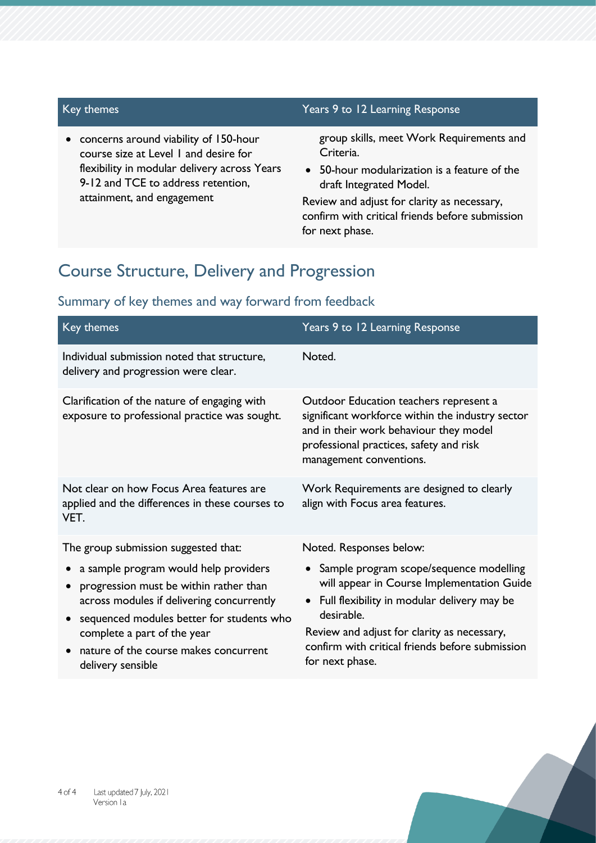• concerns around viability of 150-hour course size at Level 1 and desire for flexibility in modular delivery across Years 9-12 and TCE to address retention, attainment, and engagement

#### Key themes Years 9 to 12 Learning Response

group skills, meet Work Requirements and Criteria.

• 50-hour modularization is a feature of the draft Integrated Model.

Review and adjust for clarity as necessary, confirm with critical friends before submission for next phase.

### Course Structure, Delivery and Progression

| Key themes                                                                                                                                                                                                                                                             | Years 9 to 12 Learning Response                                                                                                                                                                                                                                           |
|------------------------------------------------------------------------------------------------------------------------------------------------------------------------------------------------------------------------------------------------------------------------|---------------------------------------------------------------------------------------------------------------------------------------------------------------------------------------------------------------------------------------------------------------------------|
| Individual submission noted that structure,<br>delivery and progression were clear.                                                                                                                                                                                    | Noted.                                                                                                                                                                                                                                                                    |
| Clarification of the nature of engaging with<br>exposure to professional practice was sought.                                                                                                                                                                          | Outdoor Education teachers represent a<br>significant workforce within the industry sector<br>and in their work behaviour they model<br>professional practices, safety and risk<br>management conventions.                                                                |
| Not clear on how Focus Area features are<br>applied and the differences in these courses to<br>VET.                                                                                                                                                                    | Work Requirements are designed to clearly<br>align with Focus area features.                                                                                                                                                                                              |
| The group submission suggested that:                                                                                                                                                                                                                                   | Noted. Responses below:                                                                                                                                                                                                                                                   |
| a sample program would help providers<br>progression must be within rather than<br>across modules if delivering concurrently<br>sequenced modules better for students who<br>complete a part of the year<br>nature of the course makes concurrent<br>delivery sensible | Sample program scope/sequence modelling<br>will appear in Course Implementation Guide<br>• Full flexibility in modular delivery may be<br>desirable.<br>Review and adjust for clarity as necessary,<br>confirm with critical friends before submission<br>for next phase. |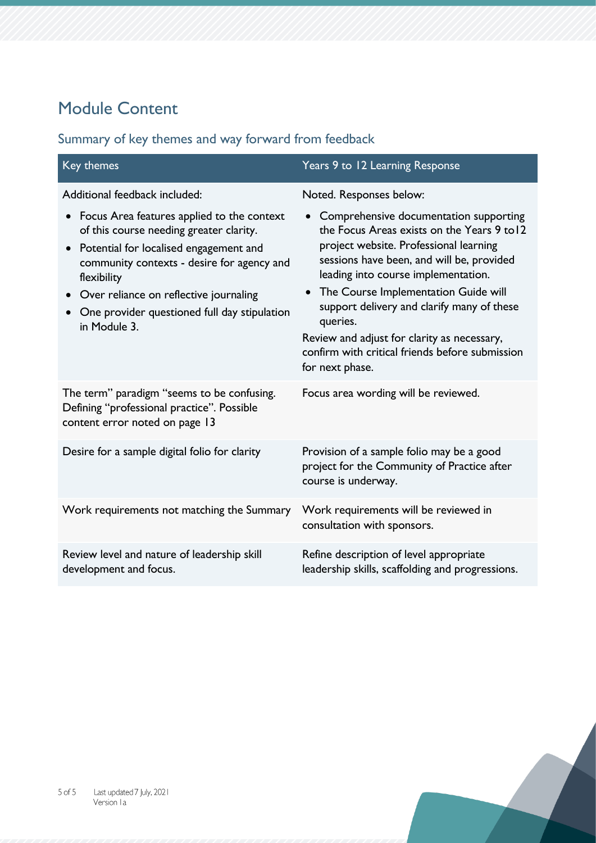# Module Content

| Key themes                                                                                                                                                                                                                                                                                                              | Years 9 to 12 Learning Response                                                                                                                                                                                                                                                                                                                                                                                                                         |
|-------------------------------------------------------------------------------------------------------------------------------------------------------------------------------------------------------------------------------------------------------------------------------------------------------------------------|---------------------------------------------------------------------------------------------------------------------------------------------------------------------------------------------------------------------------------------------------------------------------------------------------------------------------------------------------------------------------------------------------------------------------------------------------------|
| Additional feedback included:                                                                                                                                                                                                                                                                                           | Noted. Responses below:                                                                                                                                                                                                                                                                                                                                                                                                                                 |
| • Focus Area features applied to the context<br>of this course needing greater clarity.<br>Potential for localised engagement and<br>$\bullet$<br>community contexts - desire for agency and<br>flexibility<br>• Over reliance on reflective journaling<br>One provider questioned full day stipulation<br>in Module 3. | Comprehensive documentation supporting<br>the Focus Areas exists on the Years 9 to 12<br>project website. Professional learning<br>sessions have been, and will be, provided<br>leading into course implementation.<br>The Course Implementation Guide will<br>$\bullet$<br>support delivery and clarify many of these<br>queries.<br>Review and adjust for clarity as necessary,<br>confirm with critical friends before submission<br>for next phase. |
| The term" paradigm "seems to be confusing.<br>Defining "professional practice". Possible<br>content error noted on page 13                                                                                                                                                                                              | Focus area wording will be reviewed.                                                                                                                                                                                                                                                                                                                                                                                                                    |
| Desire for a sample digital folio for clarity                                                                                                                                                                                                                                                                           | Provision of a sample folio may be a good<br>project for the Community of Practice after<br>course is underway.                                                                                                                                                                                                                                                                                                                                         |
| Work requirements not matching the Summary                                                                                                                                                                                                                                                                              | Work requirements will be reviewed in<br>consultation with sponsors.                                                                                                                                                                                                                                                                                                                                                                                    |
| Review level and nature of leadership skill<br>development and focus.                                                                                                                                                                                                                                                   | Refine description of level appropriate<br>leadership skills, scaffolding and progressions.                                                                                                                                                                                                                                                                                                                                                             |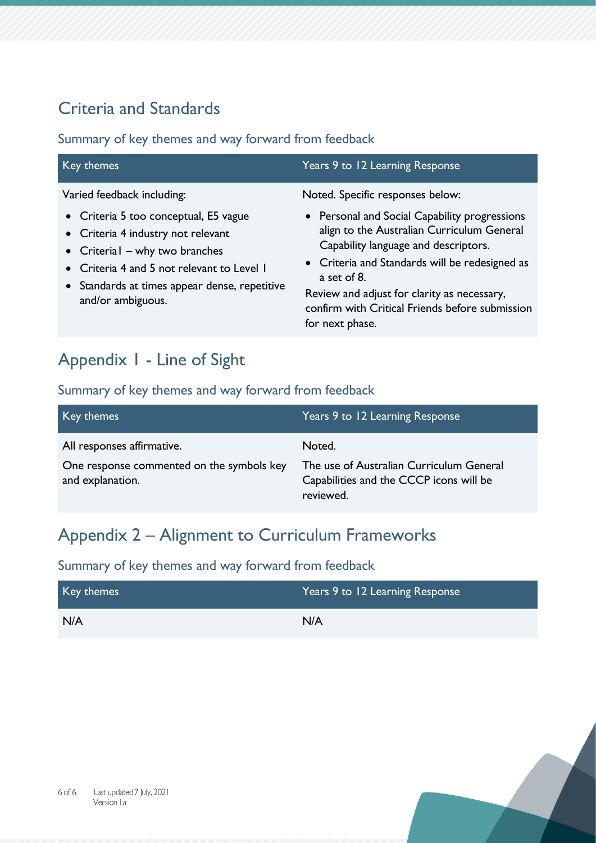# Criteria and Standards

Summary of key themes and way forward from feedback

| Key themes                                                                                                                                                                                                                                                        | Years 9 to 12 Learning Response                                                                                                                                                                                                                                                                                                                               |
|-------------------------------------------------------------------------------------------------------------------------------------------------------------------------------------------------------------------------------------------------------------------|---------------------------------------------------------------------------------------------------------------------------------------------------------------------------------------------------------------------------------------------------------------------------------------------------------------------------------------------------------------|
| Varied feedback including:<br>• Criteria 5 too conceptual, E5 vague<br>• Criteria 4 industry not relevant<br>• Criterial $-$ why two branches<br>• Criteria 4 and 5 not relevant to Level 1<br>• Standards at times appear dense, repetitive<br>and/or ambiguous. | Noted. Specific responses below:<br>• Personal and Social Capability progressions<br>align to the Australian Curriculum General<br>Capability language and descriptors.<br>• Criteria and Standards will be redesigned as<br>a set of 8.<br>Review and adjust for clarity as necessary,<br>confirm with Critical Friends before submission<br>for next phase. |

# Appendix 1 - Line of Sight

### Summary of key themes and way forward from feedback

| Key themes                                                    | Years 9 to 12 Learning Response                                                                  |
|---------------------------------------------------------------|--------------------------------------------------------------------------------------------------|
| All responses affirmative.                                    | Noted.                                                                                           |
| One response commented on the symbols key<br>and explanation. | The use of Australian Curriculum General<br>Capabilities and the CCCP icons will be<br>reviewed. |

# Appendix 2 – Alignment to Curriculum Frameworks

| Key themes | Years 9 to 12 Learning Response |
|------------|---------------------------------|
| N/A        | N/A                             |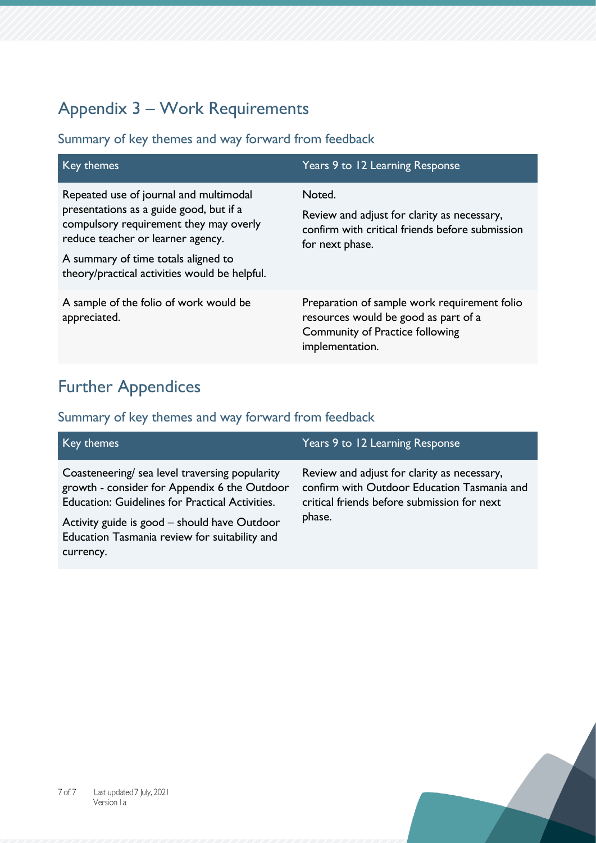# Appendix 3 – Work Requirements

### Summary of key themes and way forward from feedback

| Key themes                                                                                                                                                                                                                                               | Years 9 to 12 Learning Response                                                                                                            |
|----------------------------------------------------------------------------------------------------------------------------------------------------------------------------------------------------------------------------------------------------------|--------------------------------------------------------------------------------------------------------------------------------------------|
| Repeated use of journal and multimodal<br>presentations as a guide good, but if a<br>compulsory requirement they may overly<br>reduce teacher or learner agency.<br>A summary of time totals aligned to<br>theory/practical activities would be helpful. | Noted.<br>Review and adjust for clarity as necessary,<br>confirm with critical friends before submission<br>for next phase.                |
| A sample of the folio of work would be<br>appreciated.                                                                                                                                                                                                   | Preparation of sample work requirement folio<br>resources would be good as part of a<br>Community of Practice following<br>implementation. |

# Further Appendices

| Key themes                                                                                                                                                                                                                                                | Years 9 to 12 Learning Response                                                                                                                     |
|-----------------------------------------------------------------------------------------------------------------------------------------------------------------------------------------------------------------------------------------------------------|-----------------------------------------------------------------------------------------------------------------------------------------------------|
| Coasteneering/ sea level traversing popularity<br>growth - consider for Appendix 6 the Outdoor<br><b>Education: Guidelines for Practical Activities.</b><br>Activity guide is good – should have Outdoor<br>Education Tasmania review for suitability and | Review and adjust for clarity as necessary,<br>confirm with Outdoor Education Tasmania and<br>critical friends before submission for next<br>phase. |
| currency.                                                                                                                                                                                                                                                 |                                                                                                                                                     |